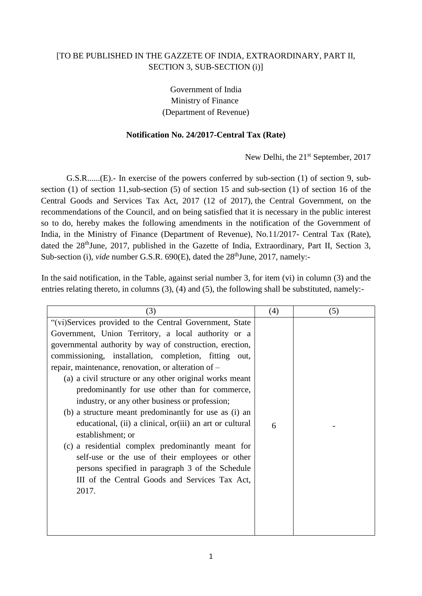## [TO BE PUBLISHED IN THE GAZZETE OF INDIA, EXTRAORDINARY, PART II, SECTION 3, SUB-SECTION (i)]

Government of India Ministry of Finance (Department of Revenue)

## **Notification No. 24/2017-Central Tax (Rate)**

New Delhi, the 21<sup>st</sup> September, 2017

G.S.R......(E).- In exercise of the powers conferred by sub-section (1) of section 9, subsection (1) of section 11,sub-section (5) of section 15 and sub-section (1) of section 16 of the Central Goods and Services Tax Act, 2017 (12 of 2017), the Central Government, on the recommendations of the Council, and on being satisfied that it is necessary in the public interest so to do, hereby makes the following amendments in the notification of the Government of India, in the Ministry of Finance (Department of Revenue), No.11/2017- Central Tax (Rate), dated the 28<sup>th</sup>June, 2017, published in the Gazette of India, Extraordinary, Part II, Section 3, Sub-section (i), *vide* number G.S.R. 690(E), dated the 28<sup>th</sup>June, 2017, namely:-

In the said notification, in the Table, against serial number 3, for item (vi) in column (3) and the entries relating thereto, in columns (3), (4) and (5), the following shall be substituted, namely:-

| (3)                                                      | (4) | (5) |
|----------------------------------------------------------|-----|-----|
| "(vi)Services provided to the Central Government, State  |     |     |
| Government, Union Territory, a local authority or a      |     |     |
| governmental authority by way of construction, erection, |     |     |
| commissioning, installation, completion, fitting out,    |     |     |
| repair, maintenance, renovation, or alteration of –      |     |     |
| (a) a civil structure or any other original works meant  |     |     |
| predominantly for use other than for commerce,           |     |     |
| industry, or any other business or profession;           |     |     |
| (b) a structure meant predominantly for use as (i) an    |     |     |
| educational, (ii) a clinical, or(iii) an art or cultural | 6   |     |
| establishment; or                                        |     |     |
| (c) a residential complex predominantly meant for        |     |     |
| self-use or the use of their employees or other          |     |     |
| persons specified in paragraph 3 of the Schedule         |     |     |
| III of the Central Goods and Services Tax Act,           |     |     |
| 2017.                                                    |     |     |
|                                                          |     |     |
|                                                          |     |     |
|                                                          |     |     |